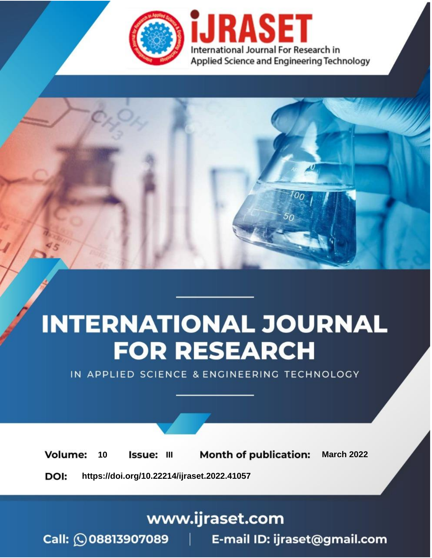

# **INTERNATIONAL JOURNAL FOR RESEARCH**

IN APPLIED SCIENCE & ENGINEERING TECHNOLOGY

10 **Issue: III Month of publication:** March 2022 **Volume:** 

**https://doi.org/10.22214/ijraset.2022.41057**DOI:

www.ijraset.com

Call: 008813907089 | E-mail ID: ijraset@gmail.com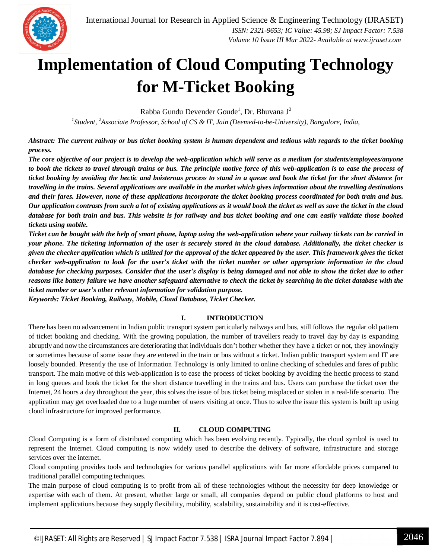

### **Implementation of Cloud Computing Technology for M-Ticket Booking**

Rabba Gundu Devender Goude<sup>1</sup>, Dr. Bhuvana J<sup>2</sup>

*1 Student, <sup>2</sup>Associate Professor, School of CS & IT, Jain (Deemed-to-be-University), Bangalore, India,*

*Abstract: The current railway or bus ticket booking system is human dependent and tedious with regards to the ticket booking process.* 

*The core objective of our project is to develop the web-application which will serve as a medium for students/employees/anyone to book the tickets to travel through trains or bus. The principle motive force of this web-application is to ease the process of ticket booking by avoiding the hectic and boisterous process to stand in a queue and book the ticket for the short distance for travelling in the trains. Several applications are available in the market which gives information about the travelling destinations*  and their fares. However, none of these applications incorporate the ticket booking process coordinated for both train and bus. *Our application contrasts from such a lot of existing applications as it would book the ticket as well as save the ticket in the cloud database for both train and bus. This website is for railway and bus ticket booking and one can easily validate those booked tickets using mobile.*

*Ticket can be bought with the help of smart phone, laptop using the web-application where your railway tickets can be carried in your phone. The ticketing information of the user is securely stored in the cloud database. Additionally, the ticket checker is given the checker application which is utilized for the approval of the ticket appeared by the user. This framework gives the ticket checker web-application to look for the user's ticket with the ticket number or other appropriate information in the cloud database for checking purposes. Consider that the user's display is being damaged and not able to show the ticket due to other reasons like battery failure we have another safeguard alternative to check the ticket by searching in the ticket database with the ticket number or user's other relevant information for validation purpose.*

*Keywords: Ticket Booking, Railway, Mobile, Cloud Database, Ticket Checker.*

#### **I. INTRODUCTION**

There has been no advancement in Indian public transport system particularly railways and bus, still follows the regular old pattern of ticket booking and checking. With the growing population, the number of travellers ready to travel day by day is expanding abruptly and now the circumstances are deteriorating that individuals don't bother whether they have a ticket or not, they knowingly or sometimes because of some issue they are entered in the train or bus without a ticket. Indian public transport system and IT are loosely bounded. Presently the use of Information Technology is only limited to online checking of schedules and fares of public transport. The main motive of this web-application is to ease the process of ticket booking by avoiding the hectic process to stand in long queues and book the ticket for the short distance travelling in the trains and bus. Users can purchase the ticket over the Internet, 24 hours a day throughout the year, this solves the issue of bus ticket being misplaced or stolen in a real-life scenario. The application may get overloaded due to a huge number of users visiting at once. Thus to solve the issue this system is built up using cloud infrastructure for improved performance.

#### **II. CLOUD COMPUTING**

Cloud Computing is a form of distributed computing which has been evolving recently. Typically, the cloud symbol is used to represent the Internet. Cloud computing is now widely used to describe the delivery of software, infrastructure and storage services over the internet.

Cloud computing provides tools and technologies for various parallel applications with far more affordable prices compared to traditional parallel computing techniques.

The main purpose of cloud computing is to profit from all of these technologies without the necessity for deep knowledge or expertise with each of them. At present, whether large or small, all companies depend on public cloud platforms to host and implement applications because they supply flexibility, mobility, scalability, sustainability and it is cost-effective.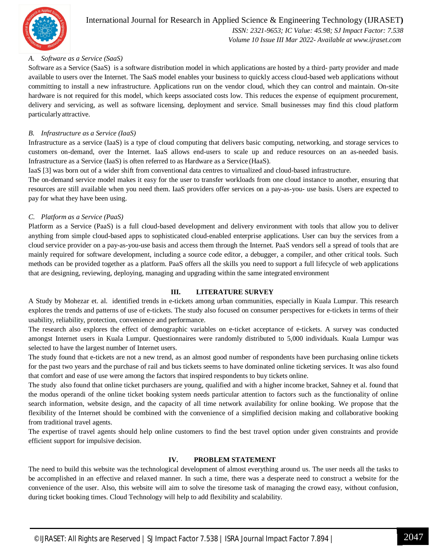

#### *A. Software as a Service (SaaS)*

Software as a Service (SaaS) is a software distribution model in which applications are hosted by a third- party provider and made available to users over the Internet. The SaaS model enables your business to quickly access cloud-based web applications without committing to install a new infrastructure. Applications run on the vendor cloud, which they can control and maintain. On-site hardware is not required for this model, which keeps associated costs low. This reduces the expense of equipment procurement, delivery and servicing, as well as software licensing, deployment and service. Small businesses may find this cloud platform particularlyattractive.

#### *B. Infrastructure as a Service (IaaS)*

Infrastructure as a service (IaaS) is a type of cloud computing that delivers basic computing, networking, and storage services to customers on-demand, over the Internet. IaaS allows end-users to scale up and reduce resources on an as-needed basis. Infrastructure as a Service (IaaS) is often referred to as Hardware as a Service (HaaS).

IaaS [3] was born out of a wider shift from conventional data centres to virtualized and cloud-based infrastructure.

The on-demand service model makes it easy for the user to transfer workloads from one cloud instance to another, ensuring that resources are still available when you need them. IaaS providers offer services on a pay-as-you- use basis. Users are expected to pay for what they have been using.

#### *C. Platform as a Service (PaaS)*

Platform as a Service (PaaS) is a full cloud-based development and delivery environment with tools that allow you to deliver anything from simple cloud-based apps to sophisticated cloud-enabled enterprise applications. User can buy the services from a cloud service provider on a pay-as-you-use basis and access them through the Internet. PaaS vendors sell a spread of tools that are mainly required for software development, including a source code editor, a debugger, a compiler, and other critical tools. Such methods can be provided together as a platform. PaaS offers all the skills you need to support a full lifecycle of web applications that are designing, reviewing, deploying, managing and upgrading within the same integrated environment

#### **III. LITERATURE SURVEY**

A Study by Mohezar et. al. identified trends in e-tickets among urban communities, especially in Kuala Lumpur. This research explores the trends and patterns of use of e-tickets. The study also focused on consumer perspectives for e-tickets in terms of their usability, reliability, protection, convenience and performance.

The research also explores the effect of demographic variables on e-ticket acceptance of e-tickets. A survey was conducted amongst Internet users in Kuala Lumpur. Questionnaires were randomly distributed to 5,000 individuals. Kuala Lumpur was selected to have the largest number of Internet users.

The study found that e-tickets are not a new trend, as an almost good number of respondents have been purchasing online tickets for the past two years and the purchase of rail and bus tickets seems to have dominated online ticketing services. It was also found that comfort and ease of use were among the factors that inspired respondents to buy tickets online.

The study also found that online ticket purchasers are young, qualified and with a higher income bracket, Sahney et al. found that the modus operandi of the online ticket booking system needs particular attention to factors such as the functionality of online search information, website design, and the capacity of all time network availability for online booking. We propose that the flexibility of the Internet should be combined with the convenience of a simplified decision making and collaborative booking from traditional travel agents.

The expertise of travel agents should help online customers to find the best travel option under given constraints and provide efficient support for impulsive decision.

#### **IV. PROBLEM STATEMENT**

The need to build this website was the technological development of almost everything around us. The user needs all the tasks to be accomplished in an effective and relaxed manner. In such a time, there was a desperate need to construct a website for the convenience of the user. Also, this website will aim to solve the tiresome task of managing the crowd easy, without confusion, during ticket booking times. Cloud Technology will help to add flexibility and scalability.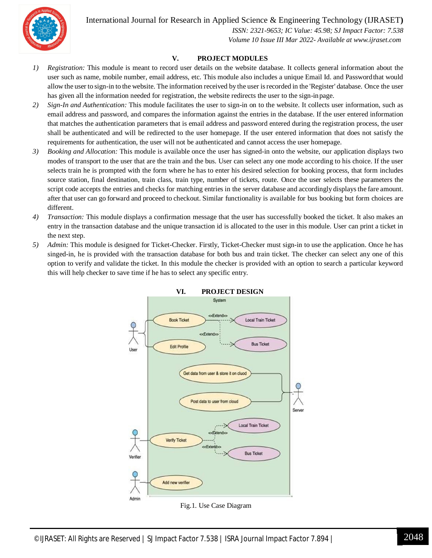International Journal for Research in Applied Science & Engineering Technology (IJRASET**)**



 *ISSN: 2321-9653; IC Value: 45.98; SJ Impact Factor: 7.538 Volume 10 Issue III Mar 2022- Available at www.ijraset.com*

#### **V. PROJECT MODULES**

- *1) Registration:* This module is meant to record user details on the website database. It collects general information about the user such as name, mobile number, email address, etc. This module also includes a unique Email Id. and Passwordthat would allow the user to sign-in to the website. The information received by the user isrecorded in the 'Register' database. Once the user has given all the information needed for registration, the website redirects the user to the sign-inpage.
- *2) Sign-In and Authentication:* This module facilitates the user to sign-in on to the website. It collects user information, such as email address and password, and compares the information against the entries in the database. If the user entered information that matches the authentication parameters that is email address and password entered during the registration process, the user shall be authenticated and will be redirected to the user homepage. If the user entered information that does not satisfy the requirements for authentication, the user will not be authenticated and cannot access the user homepage.
- *3) Booking and Allocation:* This module is available once the user has signed-in onto the website, our application displays two modes of transport to the user that are the train and the bus. User can select any one mode according to his choice. If the user selects train he is prompted with the form where he has to enter his desired selection for booking process, that form includes source station, final destination, train class, train type, number of tickets, route. Once the user selects these parameters the script code accepts the entries and checks for matching entries in the server database and accordingly displays the fare amount. after that user can go forward and proceed to checkout. Similar functionality is available for bus booking but form choices are different.
- *4) Transaction:* This module displays a confirmation message that the user has successfully booked the ticket. It also makes an entry in the transaction database and the unique transaction id is allocated to the user in this module. User can print a ticket in the next step.
- *5) Admin:* This module is designed for Ticket-Checker. Firstly, Ticket-Checker must sign-in to use the application. Once he has singed-in, he is provided with the transaction database for both bus and train ticket. The checker can select any one of this option to verify and validate the ticket. In this module the checker is provided with an option to search a particular keyword this will help checker to save time if he has to select any specific entry.



Fig.1. Use Case Diagram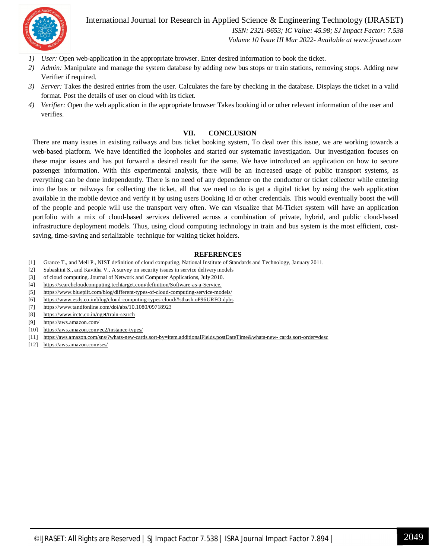

International Journal for Research in Applied Science & Engineering Technology (IJRASET**)**

 *ISSN: 2321-9653; IC Value: 45.98; SJ Impact Factor: 7.538 Volume 10 Issue III Mar 2022- Available at www.ijraset.com*

- *1) User:* Open web-application in the appropriate browser. Enter desired information to book the ticket.
- *2) Admin:* Manipulate and manage the system database by adding new bus stops or train stations, removing stops. Adding new Verifier if required.
- *3) Server:* Takes the desired entries from the user. Calculates the fare by checking in the database. Displays the ticket in a valid format. Post the details of user on cloud with its ticket.
- *4) Verifier:* Open the web application in the appropriate browser Takes booking id or other relevant information of the user and verifies.

#### **VII. CONCLUSION**

There are many issues in existing railways and bus ticket booking system, To deal over this issue, we are working towards a web-based platform. We have identified the loopholes and started our systematic investigation. Our investigation focuses on these major issues and has put forward a desired result for the same. We have introduced an application on how to secure passenger information. With this experimental analysis, there will be an increased usage of public transport systems, as everything can be done independently. There is no need of any dependence on the conductor or ticket collector while entering into the bus or railways for collecting the ticket, all that we need to do is get a digital ticket by using the web application available in the mobile device and verify it by using users Booking Id or other credentials. This would eventually boost the will of the people and people will use the transport very often. We can visualize that M-Ticket system will have an application portfolio with a mix of cloud-based services delivered across a combination of private, hybrid, and public cloud-based infrastructure deployment models. Thus, using cloud computing technology in train and bus system is the most efficient, costsaving, time-saving and serializable technique for waiting ticket holders.

#### **REFERENCES**

- [1] Grance T., and Mell P., NIST definition of cloud computing, National Institute of Standards and Technology, January 2011.
- [2] Subashini S., and Kavitha V., A survey on security issues in service delivery models
- [3] of cloud computing. Journal of Network and Computer Applications, July 2010.
- [4] https://searchcloudcomputing.techtarget.com/definition/Software-as-a-Service.
- [5] https://www.bluepiit.com/blog/different-types-of-cloud-computing-service-models/
- [6] https://www.esds.co.in/blog/cloud-computing-types-cloud/#sthash.oP96URFO.dpbs
- [7] https://www.tandfonline.com/doi/abs/10.1080/09718923
- [8] https://www.irctc.co.in/nget/train-search
- [9] https://aws.amazon.com/
- [10] https://aws.amazon.com/ec2/instance-types/
- [11] https://aws.amazon.com/sns/?whats-new-cards.sort-by=item.additionalFields.postDateTime&whats-new- cards.sort-order=desc
- [12] https://aws.amazon.com/ses/